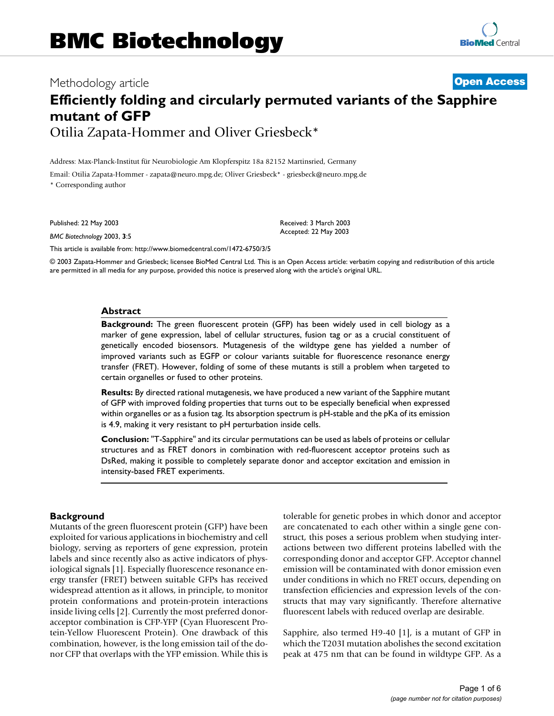# Methodology article **[Open Access](http://www.biomedcentral.com/info/about/charter/) Efficiently folding and circularly permuted variants of the Sapphire mutant of GFP** Otilia Zapata-Hommer and Oliver Griesbeck\*

Address: Max-Planck-Institut für Neurobiologie Am Klopferspitz 18a 82152 Martinsried, Germany Email: Otilia Zapata-Hommer - zapata@neuro.mpg.de; Oliver Griesbeck\* - griesbeck@neuro.mpg.de \* Corresponding author

Published: 22 May 2003

*BMC Biotechnology* 2003, **3**:5

[This article is available from: http://www.biomedcentral.com/1472-6750/3/5](http://www.biomedcentral.com/1472-6750/3/5)

© 2003 Zapata-Hommer and Griesbeck; licensee BioMed Central Ltd. This is an Open Access article: verbatim copying and redistribution of this article are permitted in all media for any purpose, provided this notice is preserved along with the article's original URL.

Received: 3 March 2003 Accepted: 22 May 2003

#### **Abstract**

**Background:** The green fluorescent protein (GFP) has been widely used in cell biology as a marker of gene expression, label of cellular structures, fusion tag or as a crucial constituent of genetically encoded biosensors. Mutagenesis of the wildtype gene has yielded a number of improved variants such as EGFP or colour variants suitable for fluorescence resonance energy transfer (FRET). However, folding of some of these mutants is still a problem when targeted to certain organelles or fused to other proteins.

**Results:** By directed rational mutagenesis, we have produced a new variant of the Sapphire mutant of GFP with improved folding properties that turns out to be especially beneficial when expressed within organelles or as a fusion tag. Its absorption spectrum is pH-stable and the pKa of its emission is 4.9, making it very resistant to pH perturbation inside cells.

**Conclusion:** "T-Sapphire" and its circular permutations can be used as labels of proteins or cellular structures and as FRET donors in combination with red-fluorescent acceptor proteins such as DsRed, making it possible to completely separate donor and acceptor excitation and emission in intensity-based FRET experiments.

## **Background**

Mutants of the green fluorescent protein (GFP) have been exploited for various applications in biochemistry and cell biology, serving as reporters of gene expression, protein labels and since recently also as active indicators of physiological signals [1]. Especially fluorescence resonance energy transfer (FRET) between suitable GFPs has received widespread attention as it allows, in principle, to monitor protein conformations and protein-protein interactions inside living cells [2]. Currently the most preferred donoracceptor combination is CFP-YFP (Cyan Fluorescent Protein-Yellow Fluorescent Protein). One drawback of this combination, however, is the long emission tail of the donor CFP that overlaps with the YFP emission. While this is tolerable for genetic probes in which donor and acceptor are concatenated to each other within a single gene construct, this poses a serious problem when studying interactions between two different proteins labelled with the corresponding donor and acceptor GFP. Acceptor channel emission will be contaminated with donor emission even under conditions in which no FRET occurs, depending on transfection efficiencies and expression levels of the constructs that may vary significantly. Therefore alternative fluorescent labels with reduced overlap are desirable.

Sapphire, also termed H9-40 [1], is a mutant of GFP in which the T203I mutation abolishes the second excitation peak at 475 nm that can be found in wildtype GFP. As a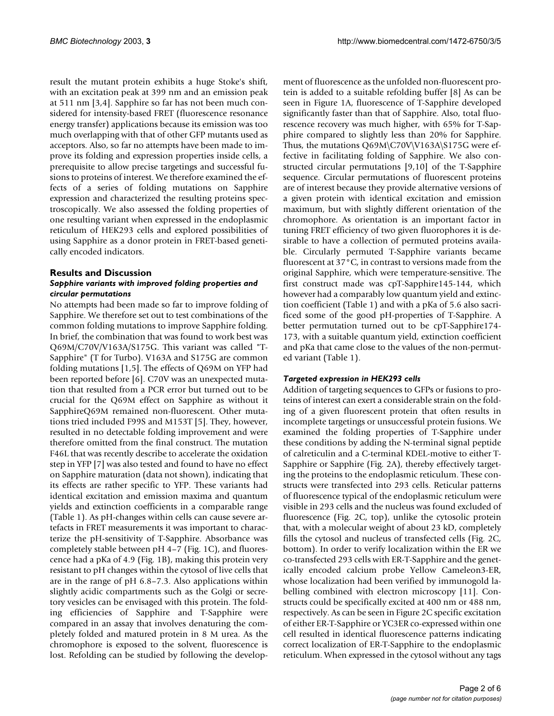result the mutant protein exhibits a huge Stoke's shift, with an excitation peak at 399 nm and an emission peak at 511 nm [3,4]. Sapphire so far has not been much considered for intensity-based FRET (fluorescence resonance energy transfer) applications because its emission was too much overlapping with that of other GFP mutants used as acceptors. Also, so far no attempts have been made to improve its folding and expression properties inside cells, a prerequisite to allow precise targetings and successful fusions to proteins of interest. We therefore examined the effects of a series of folding mutations on Sapphire expression and characterized the resulting proteins spectroscopically. We also assessed the folding properties of one resulting variant when expressed in the endoplasmic reticulum of HEK293 cells and explored possibilities of using Sapphire as a donor protein in FRET-based genetically encoded indicators.

## **Results and Discussion** *Sapphire variants with improved folding properties and circular permutations*

No attempts had been made so far to improve folding of Sapphire. We therefore set out to test combinations of the common folding mutations to improve Sapphire folding. In brief, the combination that was found to work best was Q69M/C70V/V163A/S175G. This variant was called "T-Sapphire" (T for Turbo). V163A and S175G are common folding mutations [1,5]. The effects of Q69M on YFP had been reported before [6]. C70V was an unexpected mutation that resulted from a PCR error but turned out to be crucial for the Q69M effect on Sapphire as without it SapphireQ69M remained non-fluorescent. Other mutations tried included F99S and M153T [5]. They, however, resulted in no detectable folding improvement and were therefore omitted from the final construct. The mutation F46L that was recently describe to accelerate the oxidation step in YFP [7] was also tested and found to have no effect on Sapphire maturation (data not shown), indicating that its effects are rather specific to YFP. These variants had identical excitation and emission maxima and quantum yields and extinction coefficients in a comparable range (Table [1\)](#page-2-0). As pH-changes within cells can cause severe artefacts in FRET measurements it was important to characterize the pH-sensitivity of T-Sapphire. Absorbance was completely stable between pH 4–7 (Fig. [1](#page-2-1)C), and fluorescence had a pKa of 4.9 (Fig. [1B](#page-2-1)), making this protein very resistant to pH changes within the cytosol of live cells that are in the range of pH 6.8–7.3. Also applications within slightly acidic compartments such as the Golgi or secretory vesicles can be envisaged with this protein. The folding efficiencies of Sapphire and T-Sapphire were compared in an assay that involves denaturing the completely folded and matured protein in 8 M urea. As the chromophore is exposed to the solvent, fluorescence is lost. Refolding can be studied by following the development of fluorescence as the unfolded non-fluorescent protein is added to a suitable refolding buffer [8] As can be seen in Figure [1A](#page-2-1), fluorescence of T-Sapphire developed significantly faster than that of Sapphire. Also, total fluorescence recovery was much higher, with 65% for T-Sapphire compared to slightly less than 20% for Sapphire. Thus, the mutations Q69M\C70V\V163A\S175G were effective in facilitating folding of Sapphire. We also constructed circular permutations [9,10] of the T-Sapphire sequence. Circular permutations of fluorescent proteins are of interest because they provide alternative versions of a given protein with identical excitation and emission maximum, but with slightly different orientation of the chromophore. As orientation is an important factor in tuning FRET efficiency of two given fluorophores it is desirable to have a collection of permuted proteins available. Circularly permuted T-Sapphire variants became fluorescent at 37°C, in contrast to versions made from the original Sapphire, which were temperature-sensitive. The first construct made was cpT-Sapphire145-144, which however had a comparably low quantum yield and extinction coefficient (Table [1\)](#page-2-0) and with a pKa of 5.6 also sacrificed some of the good pH-properties of T-Sapphire. A better permutation turned out to be cpT-Sapphire174- 173, with a suitable quantum yield, extinction coefficient and pKa that came close to the values of the non-permuted variant (Table [1](#page-2-0)).

# *Targeted expression in HEK293 cells*

Addition of targeting sequences to GFPs or fusions to proteins of interest can exert a considerable strain on the folding of a given fluorescent protein that often results in incomplete targetings or unsuccessful protein fusions. We examined the folding properties of T-Sapphire under these conditions by adding the N-terminal signal peptide of calreticulin and a C-terminal KDEL-motive to either T-Sapphire or Sapphire (Fig. 2A), thereby effectively targeting the proteins to the endoplasmic reticulum. These constructs were transfected into 293 cells. Reticular patterns of fluorescence typical of the endoplasmic reticulum were visible in 293 cells and the nucleus was found excluded of fluorescence (Fig. 2C, top), unlike the cytosolic protein that, with a molecular weight of about 23 kD, completely fills the cytosol and nucleus of transfected cells (Fig. 2C, bottom). In order to verify localization within the ER we co-transfected 293 cells with ER-T-Sapphire and the genetically encoded calcium probe Yellow Cameleon3-ER, whose localization had been verified by immunogold labelling combined with electron microscopy [[11\]](#page-5-0). Constructs could be specifically excited at 400 nm or 488 nm, respectively. As can be seen in Figure 2C specific excitation of either ER-T-Sapphire or YC3ER co-expressed within one cell resulted in identical fluorescence patterns indicating correct localization of ER-T-Sapphire to the endoplasmic reticulum. When expressed in the cytosol without any tags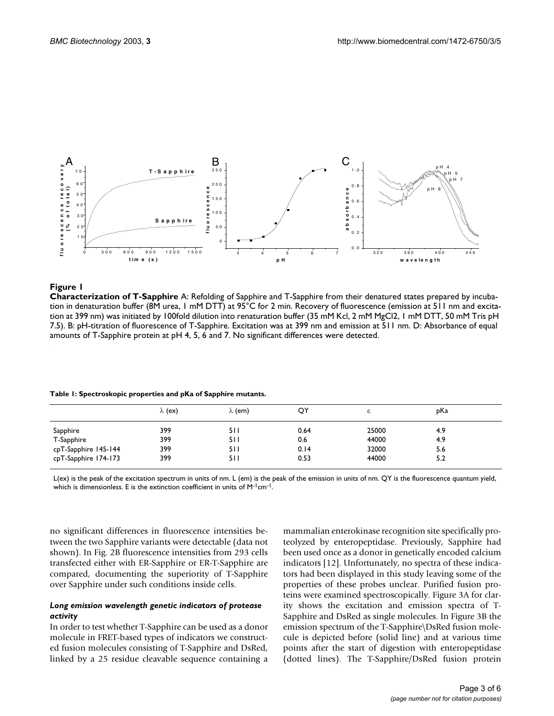<span id="page-2-1"></span>

## **Figure 1**

**Characterization of T-Sapphire** A: Refolding of Sapphire and T-Sapphire from their denatured states prepared by incubation in denaturation buffer (8M urea, 1 mM DTT) at 95°C for 2 min. Recovery of fluorescence (emission at 511 nm and excitation at 399 nm) was initiated by 100fold dilution into renaturation buffer (35 mM Kcl, 2 mM MgCl2, 1 mM DTT, 50 mM Tris pH 7.5). B: pH-titration of fluorescence of T-Sapphire. Excitation was at 399 nm and emission at 511 nm. D: Absorbance of equal amounts of T-Sapphire protein at pH 4, 5, 6 and 7. No significant differences were detected.

<span id="page-2-0"></span>

|                      | $\lambda$ (ex) | $\lambda$ (em) | QY   | c     | pKa |  |
|----------------------|----------------|----------------|------|-------|-----|--|
| Sapphire             | 399            | 511            | 0.64 | 25000 | 4.9 |  |
| T-Sapphire           | 399            | 5 I I          | 0.6  | 44000 | 4.9 |  |
| cpT-Sapphire 145-144 | 399            | 511            | 0.14 | 32000 | 5.6 |  |
| cpT-Sapphire 174-173 | 399            | 511            | 0.53 | 44000 | 5.2 |  |

L(ex) is the peak of the excitation spectrum in units of nm. L (em) is the peak of the emission in units of nm. QY is the fluorescence quantum yield, which is dimensionless. E is the extinction coefficient in units of M<sup>-1</sup>cm<sup>-1</sup>.

no significant differences in fluorescence intensities between the two Sapphire variants were detectable (data not shown). In Fig. 2B fluorescence intensities from 293 cells transfected either with ER-Sapphire or ER-T-Sapphire are compared, documenting the superiority of T-Sapphire over Sapphire under such conditions inside cells.

## *Long emission wavelength genetic indicators of protease activity*

In order to test whether T-Sapphire can be used as a donor molecule in FRET-based types of indicators we constructed fusion molecules consisting of T-Sapphire and DsRed, linked by a 25 residue cleavable sequence containing a mammalian enterokinase recognition site specifically proteolyzed by enteropeptidase. Previously, Sapphire had been used once as a donor in genetically encoded calcium indicators [12]. Unfortunately, no spectra of these indicators had been displayed in this study leaving some of the properties of these probes unclear. Purified fusion proteins were examined spectroscopically. Figure 3A for clarity shows the excitation and emission spectra of T-Sapphire and DsRed as single molecules. In Figure 3B the emission spectrum of the T-Sapphire\DsRed fusion molecule is depicted before (solid line) and at various time points after the start of digestion with enteropeptidase (dotted lines). The T-Sapphire/DsRed fusion protein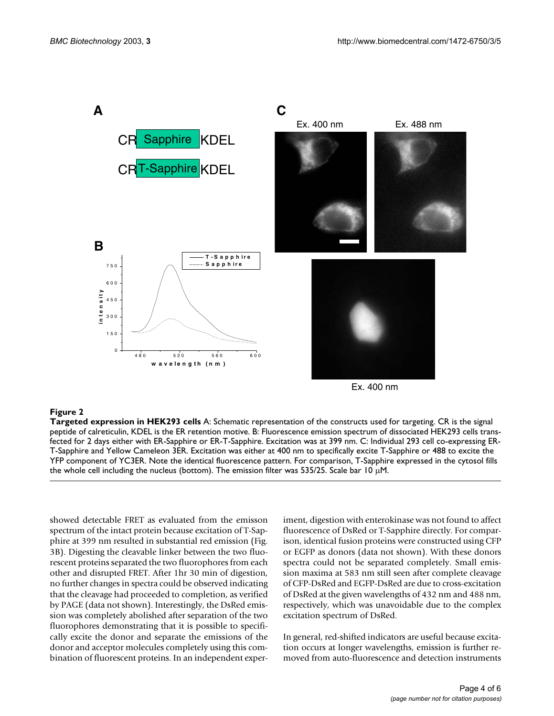

Ex. 400 nm

#### **Figure 2**

**Targeted expression in HEK293 cells** A: Schematic representation of the constructs used for targeting. CR is the signal peptide of calreticulin, KDEL is the ER retention motive. B: Fluorescence emission spectrum of dissociated HEK293 cells transfected for 2 days either with ER-Sapphire or ER-T-Sapphire. Excitation was at 399 nm. C: Individual 293 cell co-expressing ER-T-Sapphire and Yellow Cameleon 3ER. Excitation was either at 400 nm to specifically excite T-Sapphire or 488 to excite the YFP component of YC3ER. Note the identical fluorescence pattern. For comparison, T-Sapphire expressed in the cytosol fills the whole cell including the nucleus (bottom). The emission filter was 535/25. Scale bar 10  $\mu$ M.

showed detectable FRET as evaluated from the emisson spectrum of the intact protein because excitation of T-Sapphire at 399 nm resulted in substantial red emission (Fig. 3B). Digesting the cleavable linker between the two fluorescent proteins separated the two fluorophores from each other and disrupted FRET. After 1hr 30 min of digestion, no further changes in spectra could be observed indicating that the cleavage had proceeded to completion, as verified by PAGE (data not shown). Interestingly, the DsRed emission was completely abolished after separation of the two fluorophores demonstrating that it is possible to specifically excite the donor and separate the emissions of the donor and acceptor molecules completely using this combination of fluorescent proteins. In an independent experiment, digestion with enterokinase was not found to affect fluorescence of DsRed or T-Sapphire directly. For comparison, identical fusion proteins were constructed using CFP or EGFP as donors (data not shown). With these donors spectra could not be separated completely. Small emission maxima at 583 nm still seen after complete cleavage of CFP-DsRed and EGFP-DsRed are due to cross-excitation of DsRed at the given wavelengths of 432 nm and 488 nm, respectively, which was unavoidable due to the complex excitation spectrum of DsRed.

In general, red-shifted indicators are useful because excitation occurs at longer wavelengths, emission is further removed from auto-fluorescence and detection instruments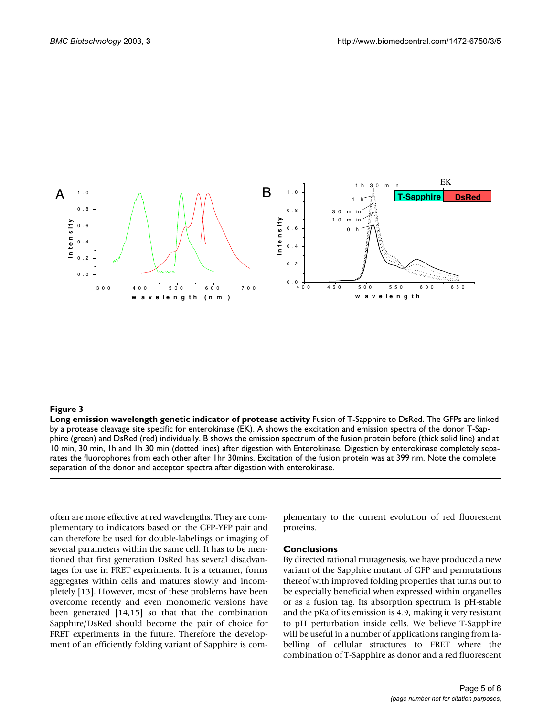

#### **Figure 3**

**Long emission wavelength genetic indicator of protease activity** Fusion of T-Sapphire to DsRed. The GFPs are linked by a protease cleavage site specific for enterokinase (EK). A shows the excitation and emission spectra of the donor T-Sapphire (green) and DsRed (red) individually. B shows the emission spectrum of the fusion protein before (thick solid line) and at 10 min, 30 min, 1h and 1h 30 min (dotted lines) after digestion with Enterokinase. Digestion by enterokinase completely separates the fluorophores from each other after 1hr 30mins. Excitation of the fusion protein was at 399 nm. Note the complete separation of the donor and acceptor spectra after digestion with enterokinase.

often are more effective at red wavelengths. They are complementary to indicators based on the CFP-YFP pair and can therefore be used for double-labelings or imaging of several parameters within the same cell. It has to be mentioned that first generation DsRed has several disadvantages for use in FRET experiments. It is a tetramer, forms aggregates within cells and matures slowly and incompletely [13]. However, most of these problems have been overcome recently and even monomeric versions have been generated [14,15] so that that the combination Sapphire/DsRed should become the pair of choice for FRET experiments in the future. Therefore the development of an efficiently folding variant of Sapphire is complementary to the current evolution of red fluorescent proteins.

#### **Conclusions**

By directed rational mutagenesis, we have produced a new variant of the Sapphire mutant of GFP and permutations thereof with improved folding properties that turns out to be especially beneficial when expressed within organelles or as a fusion tag. Its absorption spectrum is pH-stable and the pKa of its emission is 4.9, making it very resistant to pH perturbation inside cells. We believe T-Sapphire will be useful in a number of applications ranging from labelling of cellular structures to FRET where the combination of T-Sapphire as donor and a red fluorescent